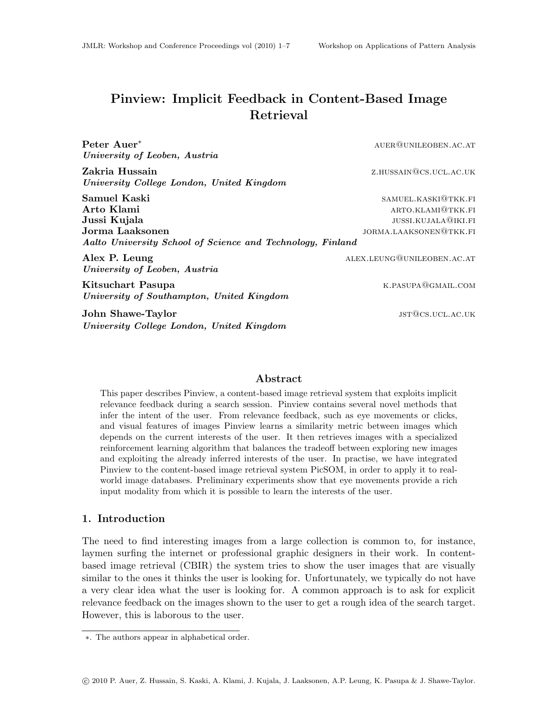# Pinview: Implicit Feedback in Content-Based Image Retrieval

Peter Auer<sup>∗</sup> auer@unileoben.ac.at University of Leoben, Austria Zakria Hussain z.hussain@cs.ucl.ac.uk University College London, United Kingdom Samuel Kaski samuel Kaski samuel Kaski samuel. Kaski samuel Kaski samuel Kaski samuel Kaski samuel Kaski samu Arto Klami and the settlement of the settlement of the settlement of the settlement of the settlement of the settlement of the settlement of the settlement of the settlement of the settlement of the settlement of the settl Jussi Kujala jussi.kujala@iki.fi Jorma Laaksonen jordaaliste van die bestelling van die gebou van die gebou van die gebou van die gebou van die g Aalto University School of Science and Technology, Finland Alex P. Leung alex.leung alex.leung@unileoben.ac.at University of Leoben, Austria Kitsuchart Pasupa **k.pasupa k.pasupa k.pasupa k.pasupa k.pasupa k.pasupa k.pasupa k.pasupa k.pasupa k.pasupa k.pasupa k.pasupa k.pasupa k.pasupa k.pasupa k.pasupa k.pasupa k.pasupa k.pasupa k.pasupa k.pasupa k.pasupa k.pas** University of Southampton, United Kingdom

**John Shawe-Taylor is a strategie of the strategies of the strategies of the strategies of the strategies of the strategies of the strategies of the strategies of the strategies of the strategies of the strategies of the** University College London, United Kingdom

#### Abstract

This paper describes Pinview, a content-based image retrieval system that exploits implicit relevance feedback during a search session. Pinview contains several novel methods that infer the intent of the user. From relevance feedback, such as eye movements or clicks, and visual features of images Pinview learns a similarity metric between images which depends on the current interests of the user. It then retrieves images with a specialized reinforcement learning algorithm that balances the tradeoff between exploring new images and exploiting the already inferred interests of the user. In practise, we have integrated Pinview to the content-based image retrieval system PicSOM, in order to apply it to realworld image databases. Preliminary experiments show that eye movements provide a rich input modality from which it is possible to learn the interests of the user.

## 1. Introduction

The need to find interesting images from a large collection is common to, for instance, laymen surfing the internet or professional graphic designers in their work. In contentbased image retrieval (CBIR) the system tries to show the user images that are visually similar to the ones it thinks the user is looking for. Unfortunately, we typically do not have a very clear idea what the user is looking for. A common approach is to ask for explicit relevance feedback on the images shown to the user to get a rough idea of the search target. However, this is laborous to the user.

<sup>∗</sup>. The authors appear in alphabetical order.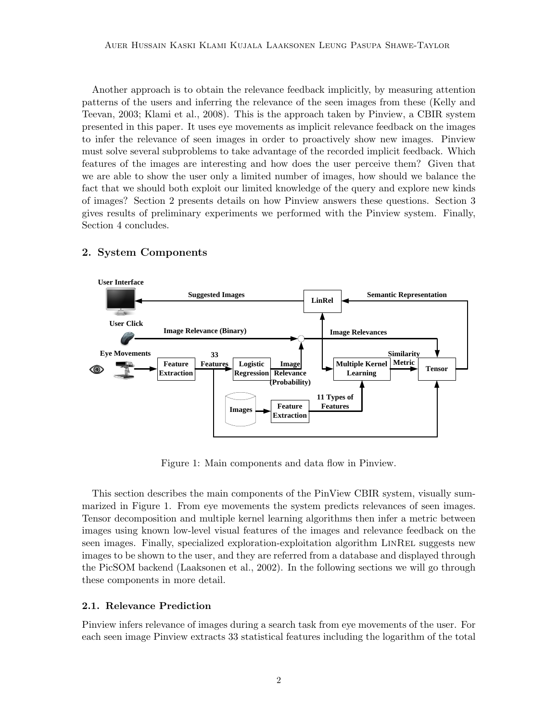Another approach is to obtain the relevance feedback implicitly, by measuring attention patterns of the users and inferring the relevance of the seen images from these (Kelly and Teevan, 2003; Klami et al., 2008). This is the approach taken by Pinview, a CBIR system presented in this paper. It uses eye movements as implicit relevance feedback on the images to infer the relevance of seen images in order to proactively show new images. Pinview must solve several subproblems to take advantage of the recorded implicit feedback. Which features of the images are interesting and how does the user perceive them? Given that we are able to show the user only a limited number of images, how should we balance the fact that we should both exploit our limited knowledge of the query and explore new kinds of images? Section 2 presents details on how Pinview answers these questions. Section 3 gives results of preliminary experiments we performed with the Pinview system. Finally, Section 4 concludes.



# 2. System Components

Figure 1: Main components and data flow in Pinview.

This section describes the main components of the PinView CBIR system, visually summarized in Figure 1. From eye movements the system predicts relevances of seen images. Tensor decomposition and multiple kernel learning algorithms then infer a metric between images using known low-level visual features of the images and relevance feedback on the seen images. Finally, specialized exploration-exploitation algorithm LINREL suggests new images to be shown to the user, and they are referred from a database and displayed through the PicSOM backend (Laaksonen et al., 2002). In the following sections we will go through these components in more detail.

# 2.1. Relevance Prediction

Pinview infers relevance of images during a search task from eye movements of the user. For each seen image Pinview extracts 33 statistical features including the logarithm of the total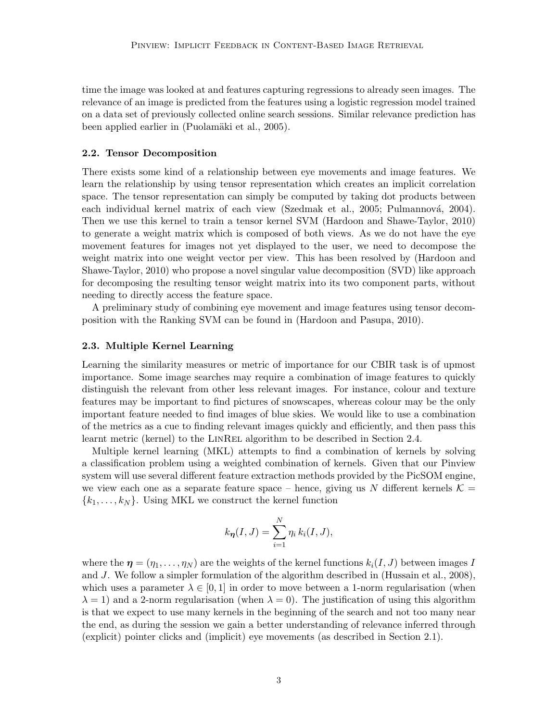time the image was looked at and features capturing regressions to already seen images. The relevance of an image is predicted from the features using a logistic regression model trained on a data set of previously collected online search sessions. Similar relevance prediction has been applied earlier in (Puolamäki et al., 2005).

#### 2.2. Tensor Decomposition

There exists some kind of a relationship between eye movements and image features. We learn the relationship by using tensor representation which creates an implicit correlation space. The tensor representation can simply be computed by taking dot products between each individual kernel matrix of each view (Szedmak et al., 2005; Pulmannová, 2004). Then we use this kernel to train a tensor kernel SVM (Hardoon and Shawe-Taylor, 2010) to generate a weight matrix which is composed of both views. As we do not have the eye movement features for images not yet displayed to the user, we need to decompose the weight matrix into one weight vector per view. This has been resolved by (Hardoon and Shawe-Taylor, 2010) who propose a novel singular value decomposition (SVD) like approach for decomposing the resulting tensor weight matrix into its two component parts, without needing to directly access the feature space.

A preliminary study of combining eye movement and image features using tensor decomposition with the Ranking SVM can be found in (Hardoon and Pasupa, 2010).

### 2.3. Multiple Kernel Learning

Learning the similarity measures or metric of importance for our CBIR task is of upmost importance. Some image searches may require a combination of image features to quickly distinguish the relevant from other less relevant images. For instance, colour and texture features may be important to find pictures of snowscapes, whereas colour may be the only important feature needed to find images of blue skies. We would like to use a combination of the metrics as a cue to finding relevant images quickly and efficiently, and then pass this learnt metric (kernel) to the LINREL algorithm to be described in Section 2.4.

Multiple kernel learning (MKL) attempts to find a combination of kernels by solving a classification problem using a weighted combination of kernels. Given that our Pinview system will use several different feature extraction methods provided by the PicSOM engine, we view each one as a separate feature space – hence, giving us N different kernels  $\mathcal{K} =$  ${k_1, \ldots, k_N}$ . Using MKL we construct the kernel function

$$
k_{\eta}(I,J) = \sum_{i=1}^{N} \eta_i k_i(I,J),
$$

where the  $\eta = (\eta_1, \ldots, \eta_N)$  are the weights of the kernel functions  $k_i(I, J)$  between images I and J. We follow a simpler formulation of the algorithm described in (Hussain et al., 2008), which uses a parameter  $\lambda \in [0, 1]$  in order to move between a 1-norm regularisation (when  $\lambda = 1$ ) and a 2-norm regularisation (when  $\lambda = 0$ ). The justification of using this algorithm is that we expect to use many kernels in the beginning of the search and not too many near the end, as during the session we gain a better understanding of relevance inferred through (explicit) pointer clicks and (implicit) eye movements (as described in Section 2.1).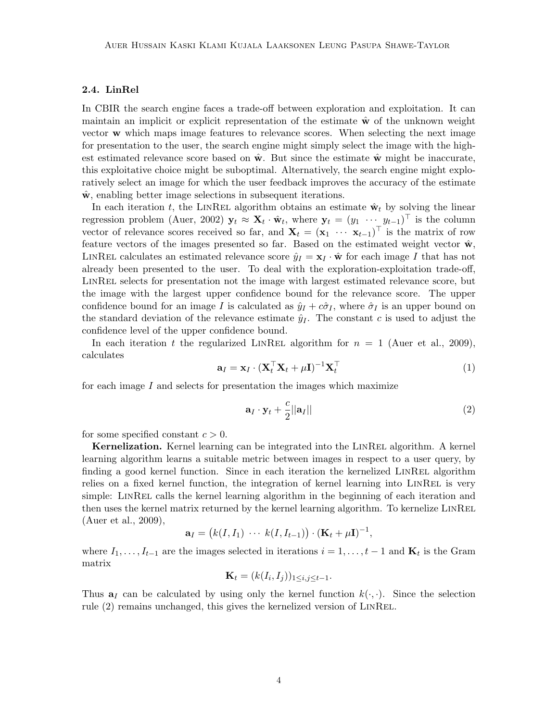# 2.4. LinRel

In CBIR the search engine faces a trade-off between exploration and exploitation. It can maintain an implicit or explicit representation of the estimate  $\hat{\mathbf{w}}$  of the unknown weight vector w which maps image features to relevance scores. When selecting the next image for presentation to the user, the search engine might simply select the image with the highest estimated relevance score based on  $\hat{\mathbf{w}}$ . But since the estimate  $\hat{\mathbf{w}}$  might be inaccurate, this exploitative choice might be suboptimal. Alternatively, the search engine might exploratively select an image for which the user feedback improves the accuracy of the estimate  $\hat{\mathbf{w}}$ , enabling better image selections in subsequent iterations.

In each iteration t, the LINREL algorithm obtains an estimate  $\hat{\mathbf{w}}_t$  by solving the linear regression problem (Auer, 2002)  $\mathbf{y}_t \approx \mathbf{X}_t \cdot \hat{\mathbf{w}}_t$ , where  $\mathbf{y}_t = (y_1 \cdots y_{t-1})^\top$  is the column vector of relevance scores received so far, and  $\mathbf{X}_t = (\mathbf{x}_1 \cdots \mathbf{x}_{t-1})^\top$  is the matrix of row feature vectors of the images presented so far. Based on the estimated weight vector  $\hat{\mathbf{w}}$ , LINREL calculates an estimated relevance score  $\hat{y}_I = \mathbf{x}_I \cdot \hat{\mathbf{w}}$  for each image I that has not already been presented to the user. To deal with the exploration-exploitation trade-off, LINREL selects for presentation not the image with largest estimated relevance score, but the image with the largest upper confidence bound for the relevance score. The upper confidence bound for an image I is calculated as  $\hat{y}_I + c\hat{\sigma}_I$ , where  $\hat{\sigma}_I$  is an upper bound on the standard deviation of the relevance estimate  $\hat{y}_I$ . The constant c is used to adjust the confidence level of the upper confidence bound.

In each iteration t the regularized LINREL algorithm for  $n = 1$  (Auer et al., 2009), calculates

$$
\mathbf{a}_I = \mathbf{x}_I \cdot (\mathbf{X}_t^\top \mathbf{X}_t + \mu \mathbf{I})^{-1} \mathbf{X}_t^\top
$$
\n(1)

for each image  $I$  and selects for presentation the images which maximize

$$
\mathbf{a}_I \cdot \mathbf{y}_t + \frac{c}{2} ||\mathbf{a}_I|| \tag{2}
$$

for some specified constant  $c > 0$ .

Kernelization. Kernel learning can be integrated into the LINREL algorithm. A kernel learning algorithm learns a suitable metric between images in respect to a user query, by finding a good kernel function. Since in each iteration the kernelized LINREL algorithm relies on a fixed kernel function, the integration of kernel learning into LINREL is very simple: LINREL calls the kernel learning algorithm in the beginning of each iteration and then uses the kernel matrix returned by the kernel learning algorithm. To kernelize LINREL (Auer et al., 2009),

$$
\mathbf{a}_I = (k(I, I_1) \cdots k(I, I_{t-1})) \cdot (\mathbf{K}_t + \mu \mathbf{I})^{-1},
$$

where  $I_1, \ldots, I_{t-1}$  are the images selected in iterations  $i = 1, \ldots, t-1$  and  $\mathbf{K}_t$  is the Gram matrix

$$
\mathbf{K}_t = (k(I_i, I_j))_{1 \leq i, j \leq t-1}.
$$

Thus  $a_I$  can be calculated by using only the kernel function  $k(\cdot, \cdot)$ . Since the selection rule (2) remains unchanged, this gives the kernelized version of LinRel.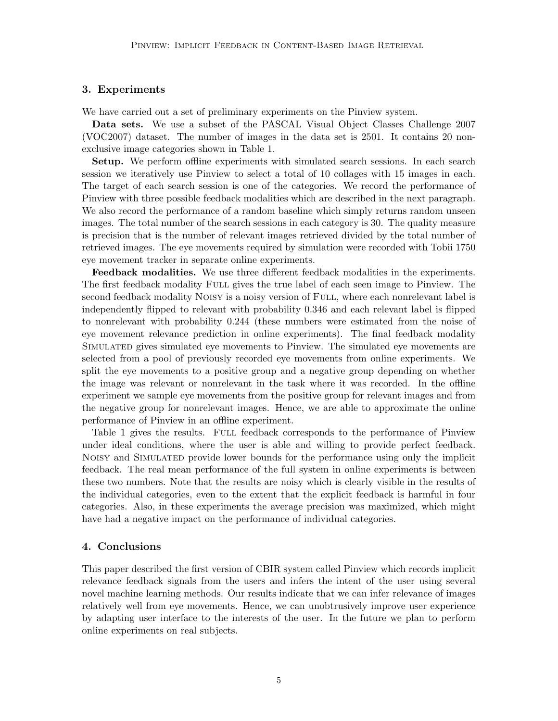# 3. Experiments

We have carried out a set of preliminary experiments on the Pinview system.

Data sets. We use a subset of the PASCAL Visual Object Classes Challenge 2007 (VOC2007) dataset. The number of images in the data set is 2501. It contains 20 nonexclusive image categories shown in Table 1.

Setup. We perform offline experiments with simulated search sessions. In each search session we iteratively use Pinview to select a total of 10 collages with 15 images in each. The target of each search session is one of the categories. We record the performance of Pinview with three possible feedback modalities which are described in the next paragraph. We also record the performance of a random baseline which simply returns random unseen images. The total number of the search sessions in each category is 30. The quality measure is precision that is the number of relevant images retrieved divided by the total number of retrieved images. The eye movements required by simulation were recorded with Tobii 1750 eye movement tracker in separate online experiments.

Feedback modalities. We use three different feedback modalities in the experiments. The first feedback modality FULL gives the true label of each seen image to Pinview. The second feedback modality Noisy is a noisy version of Full, where each nonrelevant label is independently flipped to relevant with probability 0.346 and each relevant label is flipped to nonrelevant with probability 0.244 (these numbers were estimated from the noise of eye movement relevance prediction in online experiments). The final feedback modality Simulated gives simulated eye movements to Pinview. The simulated eye movements are selected from a pool of previously recorded eye movements from online experiments. We split the eye movements to a positive group and a negative group depending on whether the image was relevant or nonrelevant in the task where it was recorded. In the offline experiment we sample eye movements from the positive group for relevant images and from the negative group for nonrelevant images. Hence, we are able to approximate the online performance of Pinview in an offline experiment.

Table 1 gives the results. FULL feedback corresponds to the performance of Pinview under ideal conditions, where the user is able and willing to provide perfect feedback. Noisy and Simulated provide lower bounds for the performance using only the implicit feedback. The real mean performance of the full system in online experiments is between these two numbers. Note that the results are noisy which is clearly visible in the results of the individual categories, even to the extent that the explicit feedback is harmful in four categories. Also, in these experiments the average precision was maximized, which might have had a negative impact on the performance of individual categories.

# 4. Conclusions

This paper described the first version of CBIR system called Pinview which records implicit relevance feedback signals from the users and infers the intent of the user using several novel machine learning methods. Our results indicate that we can infer relevance of images relatively well from eye movements. Hence, we can unobtrusively improve user experience by adapting user interface to the interests of the user. In the future we plan to perform online experiments on real subjects.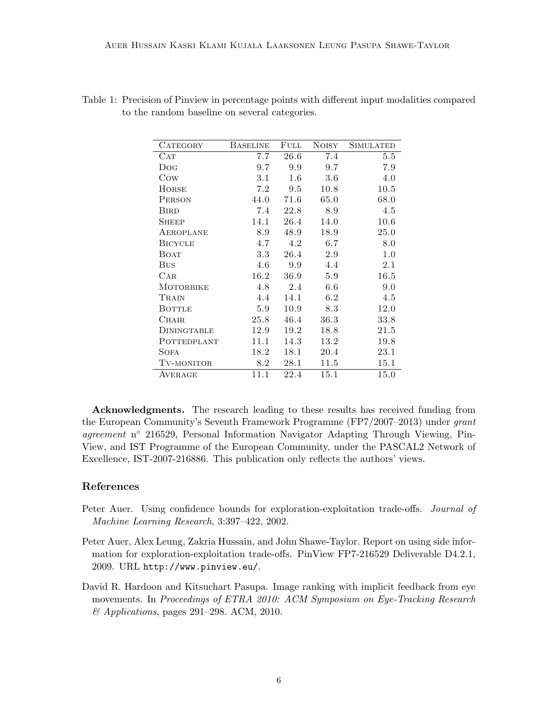| <b>CATEGORY</b>  | <b>BASELINE</b> | FULL    | <b>NOISY</b> | SIMULATED |
|------------------|-----------------|---------|--------------|-----------|
| CAT              | 7.7             | 26.6    | 7.4          | 5.5       |
| Dog              | 9.7             | 9.9     | 9.7          | 7.9       |
| Cow              | 3.1             | $1.6\,$ | 3.6          | 4.0       |
| HORSE            | 7.2             | 9.5     | 10.8         | 10.5      |
| <b>PERSON</b>    | 44.0            | 71.6    | 65.0         | 68.0      |
| <b>BIRD</b>      | 7.4             | 22.8    | 8.9          | 4.5       |
| SHEEP            | 14.1            | 26.4    | 14.0         | 10.6      |
| AEROPLANE        | 8.9             | 48.9    | 18.9         | 25.0      |
| <b>BICYCLE</b>   | 4.7             | 4.2     | 6.7          | 8.0       |
| <b>BOAT</b>      | 3.3             | 26.4    | 2.9          | 1.0       |
| <b>BUS</b>       | 4.6             | 9.9     | 4.4          | 2.1       |
| $_{\rm CAR}$     | 16.2            | 36.9    | 5.9          | 16.5      |
| <b>MOTORBIKE</b> | 4.8             | 2.4     | $6.6\,$      | 9.0       |
| TRAIN            | 4.4             | 14.1    | 6.2          | 4.5       |
| <b>BOTTLE</b>    | 5.9             | 10.9    | 8.3          | 12.0      |
| <b>CHAIR</b>     | 25.8            | 46.4    | 36.3         | 33.8      |
| DININGTABLE      | 12.9            | 19.2    | 18.8         | 21.5      |
| POTTEDPLANT      | 11.1            | 14.3    | 13.2         | 19.8      |
| <b>SOFA</b>      | 18.2            | 18.1    | 20.4         | 23.1      |
| TV-MONITOR       | 8.2             | 28.1    | 11.5         | 15.1      |
| AVERAGE          | 11.1            | 22.4    | 15.1         | 15.0      |
|                  |                 |         |              |           |

| Table 1: Precision of Pinview in percentage points with different input modalities compared |  |  |  |
|---------------------------------------------------------------------------------------------|--|--|--|
| to the random baseline on several categories.                                               |  |  |  |

Acknowledgments. The research leading to these results has received funding from the European Community's Seventh Framework Programme (FP7/2007–2013) under grant agreement n° 216529, Personal Information Navigator Adapting Through Viewing, Pin-View, and IST Programme of the European Community, under the PASCAL2 Network of Excellence, IST-2007-216886. This publication only reflects the authors' views.

# References

- Peter Auer. Using confidence bounds for exploration-exploitation trade-offs. Journal of Machine Learning Research, 3:397–422, 2002.
- Peter Auer, Alex Leung, Zakria Hussain, and John Shawe-Taylor. Report on using side information for exploration-exploitation trade-offs. PinView FP7-216529 Deliverable D4.2.1, 2009. URL http://www.pinview.eu/.
- David R. Hardoon and Kitsuchart Pasupa. Image ranking with implicit feedback from eye movements. In Proceedings of ETRA 2010: ACM Symposium on Eye-Tracking Research & Applications, pages 291–298. ACM, 2010.